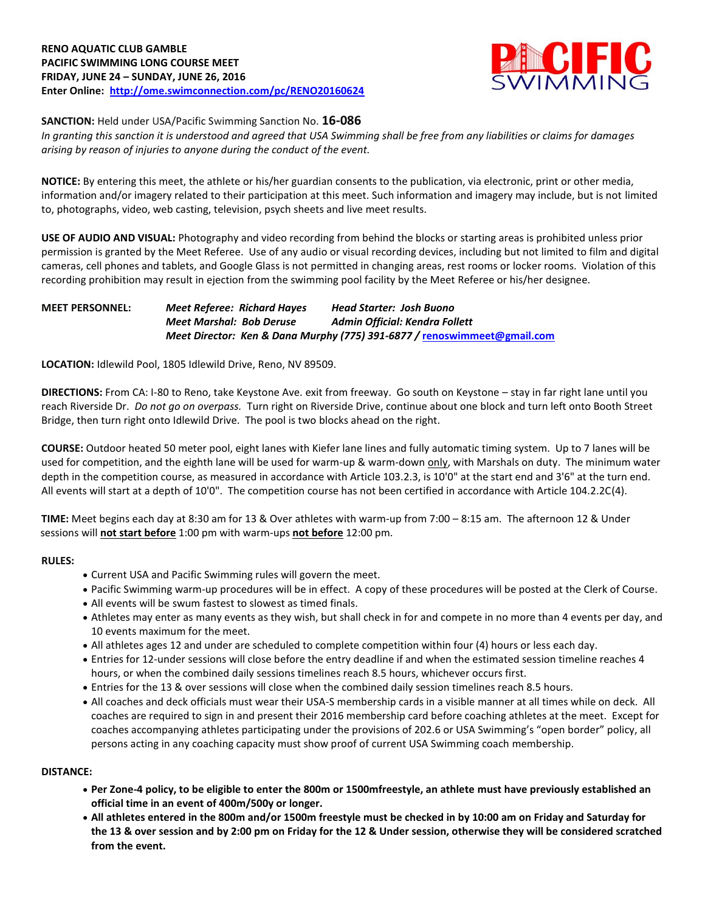

### **SANCTION:** Held under USA/Pacific Swimming Sanction No. **16-086**

*In granting this sanction it is understood and agreed that USA Swimming shall be free from any liabilities or claims for damages arising by reason of injuries to anyone during the conduct of the event.*

**NOTICE:** By entering this meet, the athlete or his/her guardian consents to the publication, via electronic, print or other media, information and/or imagery related to their participation at this meet. Such information and imagery may include, but is not limited to, photographs, video, web casting, television, psych sheets and live meet results.

**USE OF AUDIO AND VISUAL:** Photography and video recording from behind the blocks or starting areas is prohibited unless prior permission is granted by the Meet Referee. Use of any audio or visual recording devices, including but not limited to film and digital cameras, cell phones and tablets, and Google Glass is not permitted in changing areas, rest rooms or locker rooms. Violation of this recording prohibition may result in ejection from the swimming pool facility by the Meet Referee or his/her designee.

### **MEET PERSONNEL:** *Meet Referee: Richard Hayes Head Starter: Josh Buono Meet Marshal: Bob Deruse Admin Official: Kendra Follett Meet Director: Ken & Dana Murphy (775) 391-6877 /* **[renoswimmeet@gmail.com](mailto:renoswimmeet@gmail.com)**

**LOCATION:** Idlewild Pool, 1805 Idlewild Drive, Reno, NV 89509.

**DIRECTIONS:** From CA: I-80 to Reno, take Keystone Ave. exit from freeway. Go south on Keystone – stay in far right lane until you reach Riverside Dr. *Do not go on overpass.* Turn right on Riverside Drive, continue about one block and turn left onto Booth Street Bridge, then turn right onto Idlewild Drive. The pool is two blocks ahead on the right.

**COURSE:** Outdoor heated 50 meter pool, eight lanes with Kiefer lane lines and fully automatic timing system. Up to 7 lanes will be used for competition, and the eighth lane will be used for warm-up & warm-down only, with Marshals on duty. The minimum water depth in the competition course, as measured in accordance with Article 103.2.3, is 10'0" at the start end and 3'6" at the turn end. All events will start at a depth of 10'0". The competition course has not been certified in accordance with Article 104.2.2C(4).

**TIME:** Meet begins each day at 8:30 am for 13 & Over athletes with warm-up from 7:00 – 8:15 am. The afternoon 12 & Under sessions will **not start before** 1:00 pm with warm-ups **not before** 12:00 pm.

#### **RULES:**

- Current USA and Pacific Swimming rules will govern the meet.
- Pacific Swimming warm-up procedures will be in effect. A copy of these procedures will be posted at the Clerk of Course.
- All events will be swum fastest to slowest as timed finals.
- Athletes may enter as many events as they wish, but shall check in for and compete in no more than 4 events per day, and 10 events maximum for the meet.
- All athletes ages 12 and under are scheduled to complete competition within four (4) hours or less each day.
- Entries for 12-under sessions will close before the entry deadline if and when the estimated session timeline reaches 4 hours, or when the combined daily sessions timelines reach 8.5 hours, whichever occurs first.
- Entries for the 13 & over sessions will close when the combined daily session timelines reach 8.5 hours.
- All coaches and deck officials must wear their USA-S membership cards in a visible manner at all times while on deck. All coaches are required to sign in and present their 2016 membership card before coaching athletes at the meet. Except for coaches accompanying athletes participating under the provisions of 202.6 or USA Swimming's "open border" policy, all persons acting in any coaching capacity must show proof of current USA Swimming coach membership.

#### **DISTANCE:**

- **Per Zone-4 policy, to be eligible to enter the 800m or 1500mfreestyle, an athlete must have previously established an official time in an event of 400m/500y or longer.**
- **All athletes entered in the 800m and/or 1500m freestyle must be checked in by 10:00 am on Friday and Saturday for the 13 & over session and by 2:00 pm on Friday for the 12 & Under session, otherwise they will be considered scratched from the event.**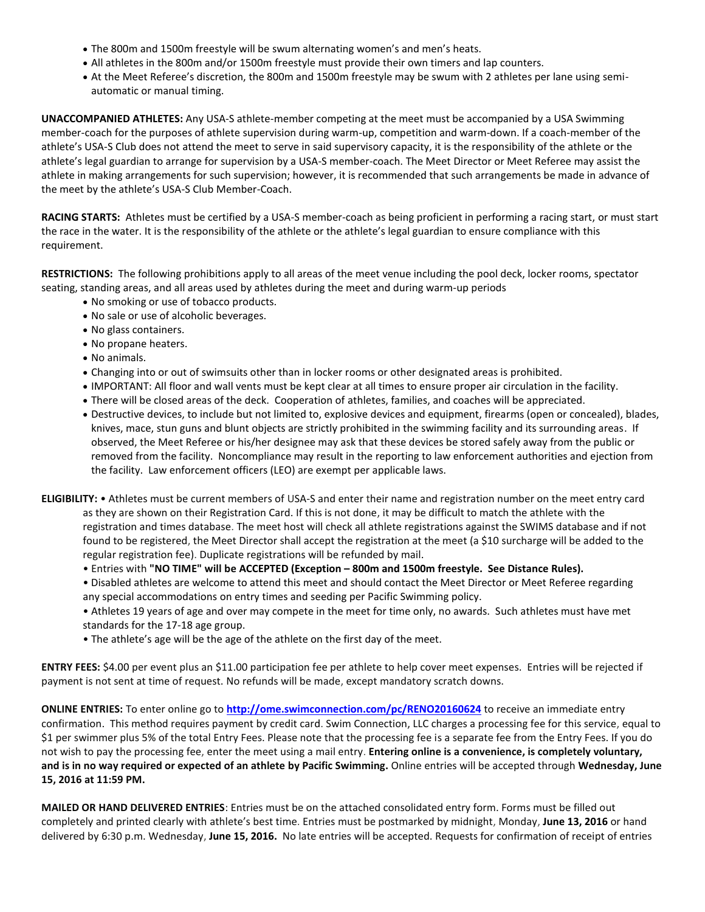- The 800m and 1500m freestyle will be swum alternating women's and men's heats.
- All athletes in the 800m and/or 1500m freestyle must provide their own timers and lap counters.
- At the Meet Referee's discretion, the 800m and 1500m freestyle may be swum with 2 athletes per lane using semiautomatic or manual timing.

**UNACCOMPANIED ATHLETES:** Any USA-S athlete-member competing at the meet must be accompanied by a USA Swimming member-coach for the purposes of athlete supervision during warm-up, competition and warm-down. If a coach-member of the athlete's USA-S Club does not attend the meet to serve in said supervisory capacity, it is the responsibility of the athlete or the athlete's legal guardian to arrange for supervision by a USA-S member-coach. The Meet Director or Meet Referee may assist the athlete in making arrangements for such supervision; however, it is recommended that such arrangements be made in advance of the meet by the athlete's USA-S Club Member-Coach.

**RACING STARTS:** Athletes must be certified by a USA-S member-coach as being proficient in performing a racing start, or must start the race in the water. It is the responsibility of the athlete or the athlete's legal guardian to ensure compliance with this requirement.

**RESTRICTIONS:** The following prohibitions apply to all areas of the meet venue including the pool deck, locker rooms, spectator seating, standing areas, and all areas used by athletes during the meet and during warm-up periods

- No smoking or use of tobacco products.
- No sale or use of alcoholic beverages.
- No glass containers.
- No propane heaters.
- No animals.
- Changing into or out of swimsuits other than in locker rooms or other designated areas is prohibited.
- IMPORTANT: All floor and wall vents must be kept clear at all times to ensure proper air circulation in the facility.
- There will be closed areas of the deck. Cooperation of athletes, families, and coaches will be appreciated.
- Destructive devices, to include but not limited to, explosive devices and equipment, firearms (open or concealed), blades, knives, mace, stun guns and blunt objects are strictly prohibited in the swimming facility and its surrounding areas. If observed, the Meet Referee or his/her designee may ask that these devices be stored safely away from the public or removed from the facility. Noncompliance may result in the reporting to law enforcement authorities and ejection from the facility. Law enforcement officers (LEO) are exempt per applicable laws.
- **ELIGIBILITY:** Athletes must be current members of USA-S and enter their name and registration number on the meet entry card as they are shown on their Registration Card. If this is not done, it may be difficult to match the athlete with the registration and times database. The meet host will check all athlete registrations against the SWIMS database and if not found to be registered, the Meet Director shall accept the registration at the meet (a \$10 surcharge will be added to the regular registration fee). Duplicate registrations will be refunded by mail.
	- Entries with **"NO TIME" will be ACCEPTED (Exception – 800m and 1500m freestyle. See Distance Rules).**
	- Disabled athletes are welcome to attend this meet and should contact the Meet Director or Meet Referee regarding any special accommodations on entry times and seeding per Pacific Swimming policy.
	- Athletes 19 years of age and over may compete in the meet for time only, no awards. Such athletes must have met standards for the 17-18 age group.
	- The athlete's age will be the age of the athlete on the first day of the meet.

**ENTRY FEES:** \$4.00 per event plus an \$11.00 participation fee per athlete to help cover meet expenses. Entries will be rejected if payment is not sent at time of request. No refunds will be made, except mandatory scratch downs.

**ONLINE ENTRIES:** To enter online go to **<http://ome.swimconnection.com/pc/RENO20160624>** to receive an immediate entry confirmation. This method requires payment by credit card. Swim Connection, LLC charges a processing fee for this service, equal to \$1 per swimmer plus 5% of the total Entry Fees. Please note that the processing fee is a separate fee from the Entry Fees. If you do not wish to pay the processing fee, enter the meet using a mail entry. **Entering online is a convenience, is completely voluntary, and is in no way required or expected of an athlete by Pacific Swimming.** Online entries will be accepted through **Wednesday, June 15, 2016 at 11:59 PM.**

**MAILED OR HAND DELIVERED ENTRIES**: Entries must be on the attached consolidated entry form. Forms must be filled out completely and printed clearly with athlete's best time. Entries must be postmarked by midnight, Monday, **June 13, 2016** or hand delivered by 6:30 p.m. Wednesday, **June 15, 2016.** No late entries will be accepted. Requests for confirmation of receipt of entries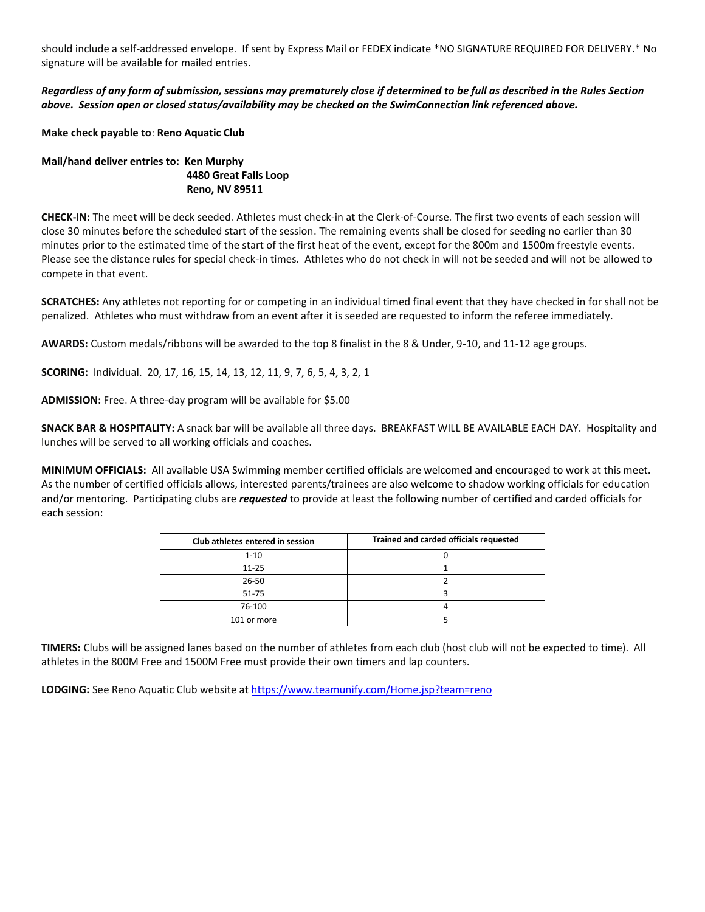should include a self-addressed envelope. If sent by Express Mail or FEDEX indicate \*NO SIGNATURE REQUIRED FOR DELIVERY.\* No signature will be available for mailed entries.

*Regardless of any form of submission, sessions may prematurely close if determined to be full as described in the Rules Section above. Session open or closed status/availability may be checked on the SwimConnection link referenced above.*

**Make check payable to**: **Reno Aquatic Club**

### **Mail/hand deliver entries to: Ken Murphy 4480 Great Falls Loop Reno, NV 89511**

**CHECK-IN:** The meet will be deck seeded. Athletes must check-in at the Clerk-of-Course. The first two events of each session will close 30 minutes before the scheduled start of the session. The remaining events shall be closed for seeding no earlier than 30 minutes prior to the estimated time of the start of the first heat of the event, except for the 800m and 1500m freestyle events. Please see the distance rules for special check-in times. Athletes who do not check in will not be seeded and will not be allowed to compete in that event.

**SCRATCHES:** Any athletes not reporting for or competing in an individual timed final event that they have checked in for shall not be penalized. Athletes who must withdraw from an event after it is seeded are requested to inform the referee immediately.

**AWARDS:** Custom medals/ribbons will be awarded to the top 8 finalist in the 8 & Under, 9-10, and 11-12 age groups.

**SCORING:** Individual. 20, 17, 16, 15, 14, 13, 12, 11, 9, 7, 6, 5, 4, 3, 2, 1

**ADMISSION:** Free. A three-day program will be available for \$5.00

**SNACK BAR & HOSPITALITY:** A snack bar will be available all three days. BREAKFAST WILL BE AVAILABLE EACH DAY. Hospitality and lunches will be served to all working officials and coaches.

**MINIMUM OFFICIALS:** All available USA Swimming member certified officials are welcomed and encouraged to work at this meet. As the number of certified officials allows, interested parents/trainees are also welcome to shadow working officials for education and/or mentoring. Participating clubs are *requested* to provide at least the following number of certified and carded officials for each session:

| Club athletes entered in session | Trained and carded officials requested |
|----------------------------------|----------------------------------------|
| $1 - 10$                         |                                        |
| $11 - 25$                        |                                        |
| 26-50                            |                                        |
| 51-75                            |                                        |
| 76-100                           |                                        |
| 101 or more                      |                                        |

**TIMERS:** Clubs will be assigned lanes based on the number of athletes from each club (host club will not be expected to time). All athletes in the 800M Free and 1500M Free must provide their own timers and lap counters.

LODGING: See Reno Aquatic Club website a[t https://www.teamunify.com/Home.jsp?team=reno](https://www.teamunify.com/Home.jsp?team=reno)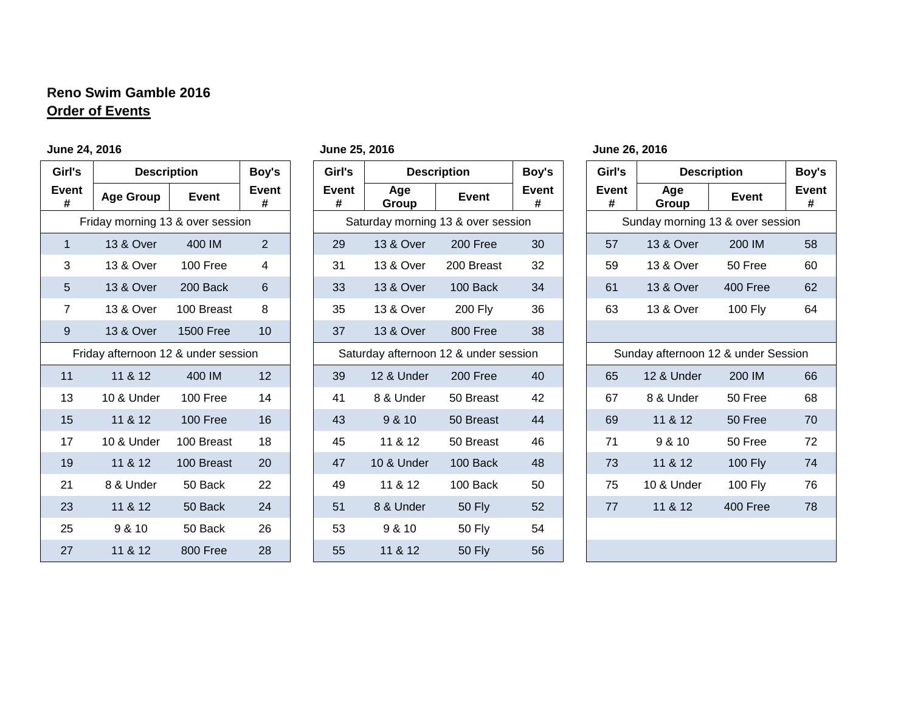# **Reno Swim Gamble 2016 Order of Events**

## **June 24, 2016 June 25, 2016 June 26, 2016**

| Girl's         | <b>Description</b>                  |                  | Boy's             | Girl's     | <b>Description</b>                    |               |
|----------------|-------------------------------------|------------------|-------------------|------------|---------------------------------------|---------------|
| Event<br>#     | <b>Age Group</b>                    | <b>Event</b>     | <b>Event</b><br># | Event<br># | Age<br>Group                          | <b>Event</b>  |
|                | Friday morning 13 & over session    |                  |                   |            | Saturday morning 13 & over session    |               |
| 1              | <b>13 &amp; Over</b>                | 400 IM           | $\overline{2}$    | 29         | 13 & Over                             | 200 Free      |
| 3              | 13 & Over                           | 100 Free         | 4                 | 31         | 13 & Over                             | 200 Breast    |
| 5              | <b>13 &amp; Over</b>                | 200 Back         | 6                 | 33         | 13 & Over                             | 100 Back      |
| $\overline{7}$ | 13 & Over                           | 100 Breast       | 8                 | 35         | 13 & Over                             | 200 Fly       |
| 9              | <b>13 &amp; Over</b>                | <b>1500 Free</b> | 10                | 37         | 13 & Over                             | 800 Free      |
|                | Friday afternoon 12 & under session |                  |                   |            | Saturday afternoon 12 & under session |               |
| 11             | 11 & 12                             | 400 IM           | 12                | 39         | 12 & Under                            | 200 Free      |
| 13             | 10 & Under                          | 100 Free         | 14                | 41         | 8 & Under                             | 50 Breast     |
| 15             | 11 & 12                             | 100 Free         | 16                | 43         | 9 & 10                                | 50 Breast     |
| 17             | 10 & Under                          | 100 Breast       | 18                | 45         | 11 & 12                               | 50 Breast     |
| 19             | 11 & 12                             | 100 Breast       | 20                | 47         | 10 & Under                            | 100 Back      |
| 21             | 8 & Under                           | 50 Back          | 22                | 49         | 11 & 12                               | 100 Back      |
| 23             | 11 & 12                             | 50 Back          | 24                | 51         | 8 & Under                             | <b>50 Fly</b> |
| 25             | 9 & 10                              | 50 Back          | 26                | 53         | 9 & 10                                | <b>50 Fly</b> |
| 27             | 11 & 12                             | 800 Free         | 28                | 55         | 11 & 12                               | <b>50 Fly</b> |

| Girl's         | <b>Description</b>                  |                  | Boy's             | Girl's     |                     | <b>Description</b>                    | Boy's      | Girl's     | <b>Description</b>                  |              | Boy's             |
|----------------|-------------------------------------|------------------|-------------------|------------|---------------------|---------------------------------------|------------|------------|-------------------------------------|--------------|-------------------|
| Event<br>#     | <b>Age Group</b>                    | <b>Event</b>     | <b>Event</b><br># | Event<br># | Age<br><b>Group</b> | <b>Event</b>                          | Event<br># | Event<br># | Age<br><b>Group</b>                 | <b>Event</b> | <b>Event</b><br># |
|                | Friday morning 13 & over session    |                  |                   |            |                     | Saturday morning 13 & over session    |            |            | Sunday morning 13 & over session    |              |                   |
| $\mathbf{1}$   | 13 & Over                           | 400 IM           | $\overline{2}$    | 29         | 13 & Over           | 200 Free                              | 30         | 57         | 13 & Over                           | 200 IM       | 58                |
| 3              | 13 & Over                           | 100 Free         | 4                 | 31         | 13 & Over           | 200 Breast                            | 32         | 59         | 13 & Over                           | 50 Free      | 60                |
| 5              | 13 & Over                           | 200 Back         | $6\phantom{1}$    | 33         | 13 & Over           | 100 Back                              | 34         | 61         | 13 & Over                           | 400 Free     | 62                |
| $\overline{7}$ | 13 & Over                           | 100 Breast       | 8                 | 35         | 13 & Over           | 200 Fly                               | 36         | 63         | 13 & Over                           | 100 Fly      | 64                |
| 9              | 13 & Over                           | <b>1500 Free</b> | 10                | 37         | 13 & Over           | 800 Free                              | 38         |            |                                     |              |                   |
|                | Friday afternoon 12 & under session |                  |                   |            |                     | Saturday afternoon 12 & under session |            |            | Sunday afternoon 12 & under Session |              |                   |
| 11             | 11 & 12                             | 400 IM           | 12                | 39         | 12 & Under          | 200 Free                              | 40         | 65         | 12 & Under                          | 200 IM       | 66                |
| 13             | 10 & Under                          | 100 Free         | 14                | 41         | 8 & Under           | 50 Breast                             | 42         | 67         | 8 & Under                           | 50 Free      | 68                |
| 15             | 11 & 12                             | 100 Free         | 16                | 43         | 9 & 10              | 50 Breast                             | 44         | 69         | 11 & 12                             | 50 Free      | 70                |
| 17             | 10 & Under                          | 100 Breast       | 18                | 45         | 11 & 12             | 50 Breast                             | 46         | 71         | 9 & 10                              | 50 Free      | 72                |
| 19             | 11 & 12                             | 100 Breast       | 20                | 47         | 10 & Under          | 100 Back                              | 48         | 73         | 11 & 12                             | 100 Fly      | 74                |
| 21             | 8 & Under                           | 50 Back          | 22                | 49         | 11 & 12             | 100 Back                              | 50         | 75         | 10 & Under                          | 100 Fly      | 76                |
| 23             | 11 & 12                             | 50 Back          | 24                | 51         | 8 & Under           | <b>50 Fly</b>                         | 52         | 77         | 11 & 12                             | 400 Free     | 78                |
| 25             | 9 & 10                              | 50 Back          | 26                | 53         | 9 & 10              | <b>50 Fly</b>                         | 54         |            |                                     |              |                   |
| 27             | 11 & 12                             | 800 Free         | 28                | 55         | 11 & 12             | <b>50 Fly</b>                         | 56         |            |                                     |              |                   |

| Girl's                              | <b>Description</b>   | Boy's             |    |  |  |  |  |  |
|-------------------------------------|----------------------|-------------------|----|--|--|--|--|--|
| <b>Event</b><br>#                   | Age<br>Group         | <b>Event</b><br># |    |  |  |  |  |  |
| Sunday morning 13 & over session    |                      |                   |    |  |  |  |  |  |
| 57                                  | <b>13 &amp; Over</b> | 200 IM            | 58 |  |  |  |  |  |
| 59                                  | 13 & Over<br>50 Free |                   |    |  |  |  |  |  |
| 61                                  | <b>13 &amp; Over</b> | 400 Free          |    |  |  |  |  |  |
| 63                                  | 13 & Over            | <b>100 Fly</b>    | 64 |  |  |  |  |  |
|                                     |                      |                   |    |  |  |  |  |  |
| Sunday afternoon 12 & under Session |                      |                   |    |  |  |  |  |  |
| 65                                  | 12 & Under           | 200 IM            | 66 |  |  |  |  |  |
| 67                                  | 8 & Under            | 50 Free           | 68 |  |  |  |  |  |
| 69                                  | 11 & 12              | 50 Free           | 70 |  |  |  |  |  |
| 71                                  | 9 & 10               | 50 Free           | 72 |  |  |  |  |  |
| 73                                  | 11 & 12              | <b>100 Fly</b>    | 74 |  |  |  |  |  |
| 75                                  | 10 & Under           | <b>100 Fly</b>    | 76 |  |  |  |  |  |
| 77                                  | 11 & 12              | 400 Free          | 78 |  |  |  |  |  |
|                                     |                      |                   |    |  |  |  |  |  |
|                                     |                      |                   |    |  |  |  |  |  |